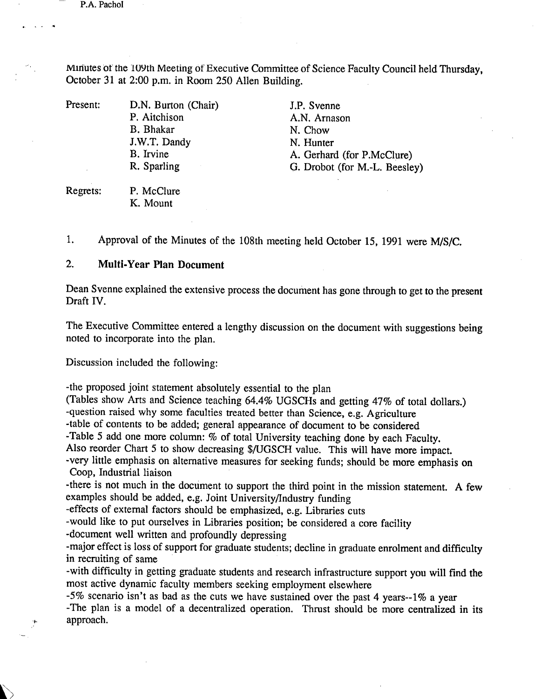P.A. Pachol

Minutes or the 109th Meeting of Executive Committee of Science Faculty Council held Thursday, October 31 at 2:00 p.m. in Room *250* Allen Building.

Present: D.N. Burton (Chair)

P. Aitchison B. Bhakar J.W.T. Dandy B. Irvine R. Sparling

J.P. Svenne A.N. Arnason N. Chow N. Hunter A. Gerhard (for P.McClure) G. Drobot (for M.-L. Beesley)

Regrets: P. McClure K. Mount

1. Approval of the Minutes of the 108th meeting held October *15,* 1991 were MiS/C.

## $2.$ **Multi-Year Plan Document**

Dean Svenne explained the extensive process the document has gone through to get to the present Draft IV.

The Executive Committee entered a lengthy discussion on the document with suggestions being noted to incorporate into the plan.

Discussion included the following:

-the proposed joint statement absolutely essential to the plan

(Tables show Arts and Science teaching 64.4% UGSCHs and getting 47% of total dollars.)

-question raised why some faculties treated better than Science, e.g. Agriculture

-table of contents to be added; general appearance of document to be considered

-Table *5* add one more column: % of total University teaching done by each Faculty.

Also reorder Chart *5* to show decreasing \$/UGSCH value. This will have more impact.

-very little emphasis on alternative measures for seeking funds; should be more emphasis on Coop, Industrial liaison

-there is not much in the document to support the third point in the mission statement. A few examples should be added, e.g. Joint University/Industry funding

-effects of external factors should be emphasized, e.g. Libraries cuts

-would like to put ourselves in Libraries position; be considered a core facility

-document well written and profoundly depressing

-major effect is loss of support for graduate students; decline in graduate enrolment and difficulty in recruiting of same

-with difficulty in getting graduate students and research infrastructure support you will find the most active dynamic faculty members seeking employment elsewhere

*-5%* scenario isn't as bad as the cuts we have sustained over the past 4 years--1% a year -The plan is a model of a decentralized operation. Thrust should be more centralized in its approach.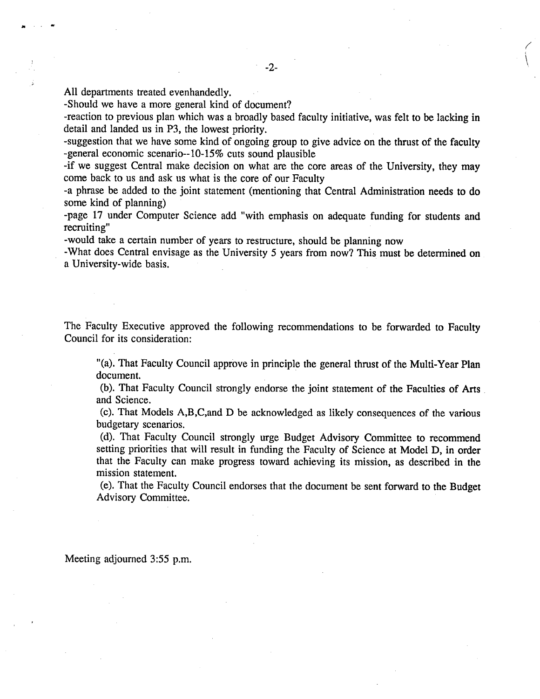a

-Should we have a more general kind of document?

-reaction to previous plan which was a broadly based faculty initiative, was felt to be lacking in detail and landed us in P3, the lowest priority.

-suggestion that we have some kind of ongoing group to give advice on the thrust of the faculty -general economic scenario-- 10-15% cuts sound plausible

-if we suggest Central make decision on what are the core areas of the University, they may come back to us and ask us what is the core of our Faculty

-a phrase be added to the joint statement (mentioning that Central Administration needs to do some kind of planning)

-page 17 under Computer Science add "with emphasis on adequate funding for students and recruiting"

-would take a certain number of years to restructure, should be planning now

-What does Central envisage as the University *5* years from now? This must be determined on a University-wide basis.

The Faculty Executive approved the following recommendations to be forwarded to Faculty Council for its consideration:

"(a). That Faculty Council approve in principle the general thrust of the Multi-Year Plan document.

(b). That Faculty Council strongly endorse the joint statement of the Faculties of Arts and Science.

(c). That Models A,B,C,and D be acknowledged as likely consequences of the various budgetary scenarios.

(d). That Faculty Council strongly urge Budget Advisory Committee to recommend setting priorities that will result in funding the Faculty of Science at Model D, in order that the Faculty can make progress toward achieving its mission, as described in the mission statement.

(e). That the Faculty Council endorses that the document be sent forward to the Budget Advisory Committee.

## Meeting adjourned *3:55* p.m.